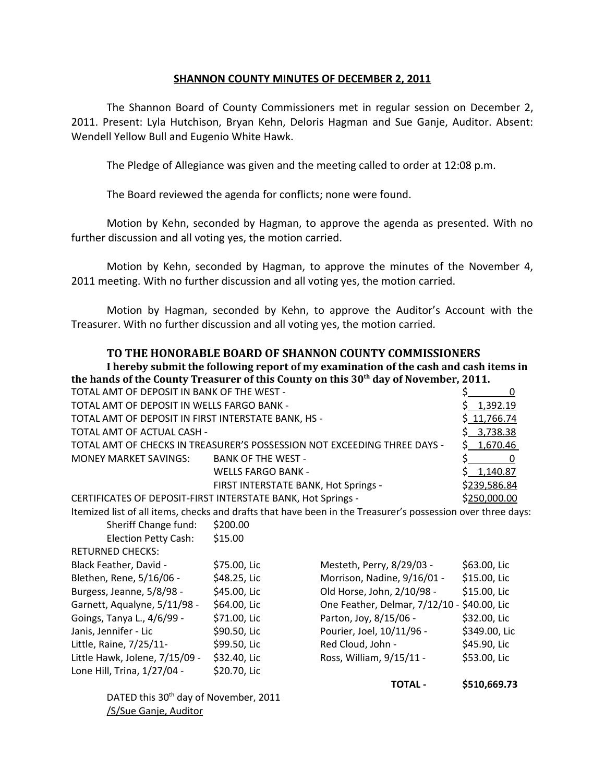## **SHANNON COUNTY MINUTES OF DECEMBER 2, 2011**

The Shannon Board of County Commissioners met in regular session on December 2, 2011. Present: Lyla Hutchison, Bryan Kehn, Deloris Hagman and Sue Ganje, Auditor. Absent: Wendell Yellow Bull and Eugenio White Hawk.

The Pledge of Allegiance was given and the meeting called to order at 12:08 p.m.

The Board reviewed the agenda for conflicts; none were found.

Motion by Kehn, seconded by Hagman, to approve the agenda as presented. With no further discussion and all voting yes, the motion carried.

Motion by Kehn, seconded by Hagman, to approve the minutes of the November 4, 2011 meeting. With no further discussion and all voting yes, the motion carried.

Motion by Hagman, seconded by Kehn, to approve the Auditor's Account with the Treasurer. With no further discussion and all voting yes, the motion carried.

## **TO THE HONORABLE BOARD OF SHANNON COUNTY COMMISSIONERS**

**I hereby submit the following report of my examination of the cash and cash items in the hands of the County Treasurer of this County on this 30th day of November, 2011.**

| TOTAL AMT OF DEPOSIT IN BANK OF THE WEST -                                                                  |                                      |                                | \$<br>$\Omega$ |  |
|-------------------------------------------------------------------------------------------------------------|--------------------------------------|--------------------------------|----------------|--|
| TOTAL AMT OF DEPOSIT IN WELLS FARGO BANK -                                                                  |                                      |                                | 1,392.19<br>S. |  |
| TOTAL AMT OF DEPOSIT IN FIRST INTERSTATE BANK, HS -                                                         |                                      |                                | \$11,766.74    |  |
| TOTAL AMT OF ACTUAL CASH -                                                                                  |                                      |                                | 3,738.38       |  |
| TOTAL AMT OF CHECKS IN TREASURER'S POSSESSION NOT EXCEEDING THREE DAYS -                                    |                                      |                                | S.<br>1,670.46 |  |
| <b>MONEY MARKET SAVINGS:</b>                                                                                | <b>BANK OF THE WEST -</b>            |                                | \$<br>0        |  |
|                                                                                                             | <b>WELLS FARGO BANK -</b>            |                                | Ś.<br>1,140.87 |  |
|                                                                                                             | FIRST INTERSTATE BANK, Hot Springs - |                                | \$239,586.84   |  |
| CERTIFICATES OF DEPOSIT-FIRST INTERSTATE BANK, Hot Springs -                                                |                                      |                                | \$250,000.00   |  |
| Itemized list of all items, checks and drafts that have been in the Treasurer's possession over three days: |                                      |                                |                |  |
| Sheriff Change fund:                                                                                        | \$200.00                             |                                |                |  |
| Election Petty Cash:                                                                                        | \$15.00                              |                                |                |  |
| <b>RETURNED CHECKS:</b>                                                                                     |                                      |                                |                |  |
| Black Feather, David -                                                                                      | \$75.00, Lic                         | Mesteth, Perry, 8/29/03 -      | \$63.00, Lic   |  |
| Blethen, Rene, 5/16/06 -                                                                                    | \$48.25, Lic                         | Morrison, Nadine, 9/16/01 -    | \$15.00, Lic   |  |
| Burgess, Jeanne, 5/8/98 -                                                                                   | \$45.00, Lic                         | Old Horse, John, 2/10/98 -     | \$15.00, Lic   |  |
| Garnett, Aqualyne, 5/11/98 -                                                                                | \$64.00, Lic                         | One Feather, Delmar, 7/12/10 - | \$40.00, Lic   |  |
| Goings, Tanya L., 4/6/99 -                                                                                  | \$71.00, Lic                         | Parton, Joy, 8/15/06 -         | \$32.00, Lic   |  |
| Janis, Jennifer - Lic                                                                                       | \$90.50, Lic                         | Pourier, Joel, 10/11/96 -      | \$349.00, Lic  |  |
| Little, Raine, 7/25/11-                                                                                     | \$99.50, Lic                         | Red Cloud, John -              | \$45.90, Lic   |  |
| Little Hawk, Jolene, 7/15/09 -                                                                              | \$32.40, Lic                         | Ross, William, 9/15/11 -       | \$53.00, Lic   |  |
| Lone Hill, Trina, 1/27/04 -                                                                                 | \$20.70, Lic                         |                                |                |  |
|                                                                                                             |                                      | <b>TOTAL -</b>                 | \$510,669.73   |  |
| DATED this 30 <sup>th</sup> day of November, 2011                                                           |                                      |                                |                |  |

/S/Sue Ganje, Auditor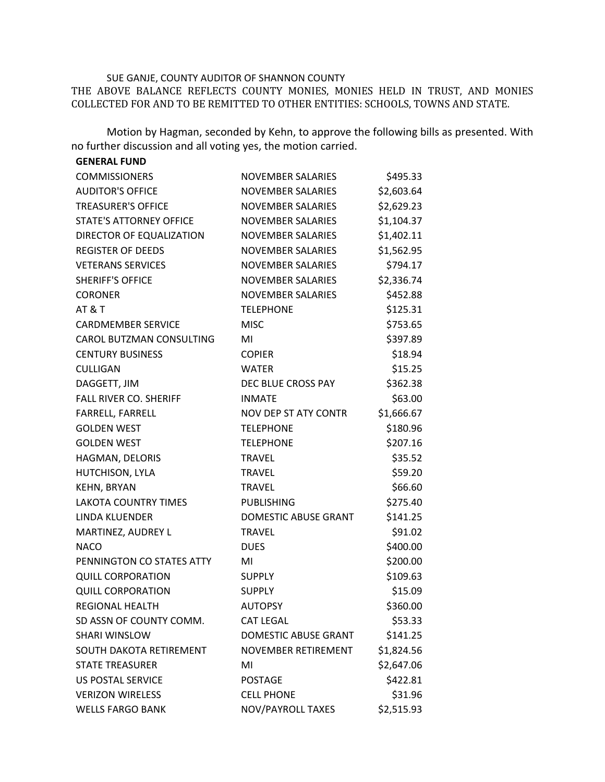## SUE GANJE, COUNTY AUDITOR OF SHANNON COUNTY

THE ABOVE BALANCE REFLECTS COUNTY MONIES, MONIES HELD IN TRUST, AND MONIES COLLECTED FOR AND TO BE REMITTED TO OTHER ENTITIES: SCHOOLS, TOWNS AND STATE.

Motion by Hagman, seconded by Kehn, to approve the following bills as presented. With no further discussion and all voting yes, the motion carried.

| <b>GENERAL FUND</b>           |                             |            |
|-------------------------------|-----------------------------|------------|
| <b>COMMISSIONERS</b>          | <b>NOVEMBER SALARIES</b>    | \$495.33   |
| <b>AUDITOR'S OFFICE</b>       | <b>NOVEMBER SALARIES</b>    | \$2,603.64 |
| <b>TREASURER'S OFFICE</b>     | <b>NOVEMBER SALARIES</b>    | \$2,629.23 |
| STATE'S ATTORNEY OFFICE       | <b>NOVEMBER SALARIES</b>    | \$1,104.37 |
| DIRECTOR OF EQUALIZATION      | <b>NOVEMBER SALARIES</b>    | \$1,402.11 |
| <b>REGISTER OF DEEDS</b>      | <b>NOVEMBER SALARIES</b>    | \$1,562.95 |
| <b>VETERANS SERVICES</b>      | <b>NOVEMBER SALARIES</b>    | \$794.17   |
| <b>SHERIFF'S OFFICE</b>       | <b>NOVEMBER SALARIES</b>    | \$2,336.74 |
| <b>CORONER</b>                | <b>NOVEMBER SALARIES</b>    | \$452.88   |
| <b>AT &amp; T</b>             | <b>TELEPHONE</b>            | \$125.31   |
| <b>CARDMEMBER SERVICE</b>     | <b>MISC</b>                 | \$753.65   |
| CAROL BUTZMAN CONSULTING      | MI                          | \$397.89   |
| <b>CENTURY BUSINESS</b>       | <b>COPIER</b>               | \$18.94    |
| <b>CULLIGAN</b>               | <b>WATER</b>                | \$15.25    |
| DAGGETT, JIM                  | DEC BLUE CROSS PAY          | \$362.38   |
| <b>FALL RIVER CO. SHERIFF</b> | <b>INMATE</b>               | \$63.00    |
| FARRELL, FARRELL              | <b>NOV DEP ST ATY CONTR</b> | \$1,666.67 |
| <b>GOLDEN WEST</b>            | <b>TELEPHONE</b>            | \$180.96   |
| <b>GOLDEN WEST</b>            | <b>TELEPHONE</b>            | \$207.16   |
| HAGMAN, DELORIS               | <b>TRAVEL</b>               | \$35.52    |
| HUTCHISON, LYLA               | <b>TRAVEL</b>               | \$59.20    |
| <b>KEHN, BRYAN</b>            | <b>TRAVEL</b>               | \$66.60    |
| <b>LAKOTA COUNTRY TIMES</b>   | <b>PUBLISHING</b>           | \$275.40   |
| LINDA KLUENDER                | <b>DOMESTIC ABUSE GRANT</b> | \$141.25   |
| MARTINEZ, AUDREY L            | <b>TRAVEL</b>               | \$91.02    |
| <b>NACO</b>                   | <b>DUES</b>                 | \$400.00   |
| PENNINGTON CO STATES ATTY     | MI                          | \$200.00   |
| <b>QUILL CORPORATION</b>      | <b>SUPPLY</b>               | \$109.63   |
| <b>QUILL CORPORATION</b>      | <b>SUPPLY</b>               | \$15.09    |
| <b>REGIONAL HEALTH</b>        | <b>AUTOPSY</b>              | \$360.00   |
| SD ASSN OF COUNTY COMM.       | <b>CAT LEGAL</b>            | \$53.33    |
| <b>SHARI WINSLOW</b>          | <b>DOMESTIC ABUSE GRANT</b> | \$141.25   |
| SOUTH DAKOTA RETIREMENT       | NOVEMBER RETIREMENT         | \$1,824.56 |
| <b>STATE TREASURER</b>        | MI                          | \$2,647.06 |
| <b>US POSTAL SERVICE</b>      | <b>POSTAGE</b>              | \$422.81   |
| <b>VERIZON WIRELESS</b>       | <b>CELL PHONE</b>           | \$31.96    |
| <b>WELLS FARGO BANK</b>       | NOV/PAYROLL TAXES           | \$2,515.93 |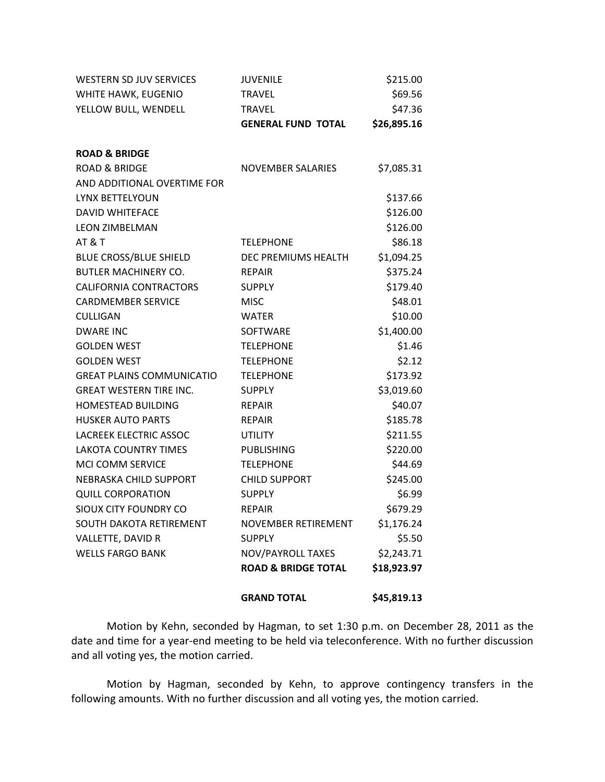| <b>WESTERN SD JUV SERVICES</b>   | <b>JUVENILE</b>                | \$215.00    |
|----------------------------------|--------------------------------|-------------|
| WHITE HAWK, EUGENIO              | <b>TRAVEL</b>                  | \$69.56     |
| YELLOW BULL, WENDELL             | <b>TRAVEL</b>                  | \$47.36     |
|                                  | <b>GENERAL FUND TOTAL</b>      | \$26,895.16 |
| <b>ROAD &amp; BRIDGE</b>         |                                |             |
| <b>ROAD &amp; BRIDGE</b>         | <b>NOVEMBER SALARIES</b>       | \$7,085.31  |
| AND ADDITIONAL OVERTIME FOR      |                                |             |
| LYNX BETTELYOUN                  |                                | \$137.66    |
| <b>DAVID WHITEFACE</b>           |                                | \$126.00    |
| <b>LEON ZIMBELMAN</b>            |                                | \$126.00    |
| AT&T                             | <b>TELEPHONE</b>               | \$86.18     |
| <b>BLUE CROSS/BLUE SHIELD</b>    | DEC PREMIUMS HEALTH            | \$1,094.25  |
| <b>BUTLER MACHINERY CO.</b>      | <b>REPAIR</b>                  | \$375.24    |
| <b>CALIFORNIA CONTRACTORS</b>    | <b>SUPPLY</b>                  | \$179.40    |
| <b>CARDMEMBER SERVICE</b>        | <b>MISC</b>                    | \$48.01     |
| <b>CULLIGAN</b>                  | <b>WATER</b>                   | \$10.00     |
| <b>DWARE INC</b>                 | <b>SOFTWARE</b>                | \$1,400.00  |
| <b>GOLDEN WEST</b>               | <b>TELEPHONE</b>               | \$1.46      |
| <b>GOLDEN WEST</b>               | <b>TELEPHONE</b>               | \$2.12      |
| <b>GREAT PLAINS COMMUNICATIO</b> | <b>TELEPHONE</b>               | \$173.92    |
| <b>GREAT WESTERN TIRE INC.</b>   | <b>SUPPLY</b>                  | \$3,019.60  |
| HOMESTEAD BUILDING               | <b>REPAIR</b>                  | \$40.07     |
| <b>HUSKER AUTO PARTS</b>         | <b>REPAIR</b>                  | \$185.78    |
| <b>LACREEK ELECTRIC ASSOC</b>    | <b>UTILITY</b>                 | \$211.55    |
| <b>LAKOTA COUNTRY TIMES</b>      | <b>PUBLISHING</b>              | \$220.00    |
| MCI COMM SERVICE                 | <b>TELEPHONE</b>               | \$44.69     |
| NEBRASKA CHILD SUPPORT           | <b>CHILD SUPPORT</b>           | \$245.00    |
| <b>QUILL CORPORATION</b>         | <b>SUPPLY</b>                  | \$6.99      |
| SIOUX CITY FOUNDRY CO            | <b>REPAIR</b>                  | \$679.29    |
| SOUTH DAKOTA RETIREMENT          | NOVEMBER RETIREMENT            | \$1,176.24  |
| VALLETTE, DAVID R                | <b>SUPPLY</b>                  | \$5.50      |
| <b>WELLS FARGO BANK</b>          | NOV/PAYROLL TAXES              | \$2,243.71  |
|                                  | <b>ROAD &amp; BRIDGE TOTAL</b> | \$18,923.97 |
|                                  | <b>GRAND TOTAL</b>             | \$45,819.13 |

Motion by Kehn, seconded by Hagman, to set 1:30 p.m. on December 28, 2011 as the date and time for a year-end meeting to be held via teleconference. With no further discussion and all voting yes, the motion carried.

Motion by Hagman, seconded by Kehn, to approve contingency transfers in the following amounts. With no further discussion and all voting yes, the motion carried.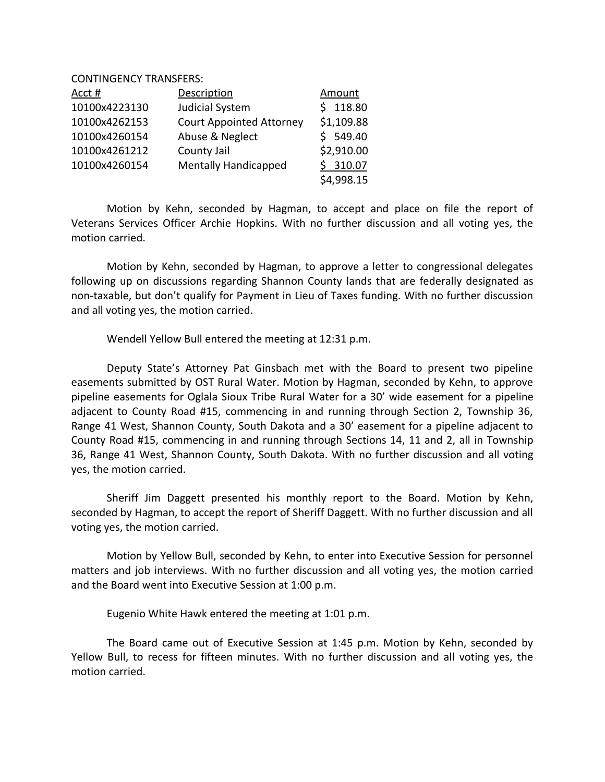CONTINGENCY TRANSFERS:

| Acct #        | Description                     | <b>Amount</b> |
|---------------|---------------------------------|---------------|
| 10100x4223130 | Judicial System                 | \$118.80      |
| 10100x4262153 | <b>Court Appointed Attorney</b> | \$1,109.88    |
| 10100x4260154 | Abuse & Neglect                 | \$549.40      |
| 10100x4261212 | County Jail                     | \$2,910.00    |
| 10100x4260154 | <b>Mentally Handicapped</b>     | \$310.07      |
|               |                                 | \$4,998.15    |

Motion by Kehn, seconded by Hagman, to accept and place on file the report of Veterans Services Officer Archie Hopkins. With no further discussion and all voting yes, the motion carried.

Motion by Kehn, seconded by Hagman, to approve a letter to congressional delegates following up on discussions regarding Shannon County lands that are federally designated as non-taxable, but don't qualify for Payment in Lieu of Taxes funding. With no further discussion and all voting yes, the motion carried.

Wendell Yellow Bull entered the meeting at 12:31 p.m.

Deputy State's Attorney Pat Ginsbach met with the Board to present two pipeline easements submitted by OST Rural Water. Motion by Hagman, seconded by Kehn, to approve pipeline easements for Oglala Sioux Tribe Rural Water for a 30' wide easement for a pipeline adjacent to County Road #15, commencing in and running through Section 2, Township 36, Range 41 West, Shannon County, South Dakota and a 30' easement for a pipeline adjacent to County Road #15, commencing in and running through Sections 14, 11 and 2, all in Township 36, Range 41 West, Shannon County, South Dakota. With no further discussion and all voting yes, the motion carried.

Sheriff Jim Daggett presented his monthly report to the Board. Motion by Kehn, seconded by Hagman, to accept the report of Sheriff Daggett. With no further discussion and all voting yes, the motion carried.

Motion by Yellow Bull, seconded by Kehn, to enter into Executive Session for personnel matters and job interviews. With no further discussion and all voting yes, the motion carried and the Board went into Executive Session at 1:00 p.m.

Eugenio White Hawk entered the meeting at 1:01 p.m.

The Board came out of Executive Session at 1:45 p.m. Motion by Kehn, seconded by Yellow Bull, to recess for fifteen minutes. With no further discussion and all voting yes, the motion carried.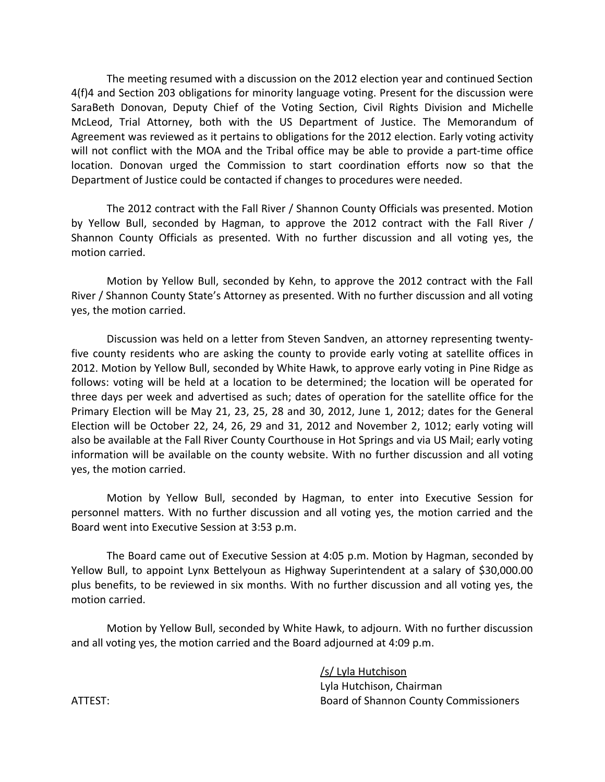The meeting resumed with a discussion on the 2012 election year and continued Section 4(f)4 and Section 203 obligations for minority language voting. Present for the discussion were SaraBeth Donovan, Deputy Chief of the Voting Section, Civil Rights Division and Michelle McLeod, Trial Attorney, both with the US Department of Justice. The Memorandum of Agreement was reviewed as it pertains to obligations for the 2012 election. Early voting activity will not conflict with the MOA and the Tribal office may be able to provide a part-time office location. Donovan urged the Commission to start coordination efforts now so that the Department of Justice could be contacted if changes to procedures were needed.

The 2012 contract with the Fall River / Shannon County Officials was presented. Motion by Yellow Bull, seconded by Hagman, to approve the 2012 contract with the Fall River / Shannon County Officials as presented. With no further discussion and all voting yes, the motion carried.

Motion by Yellow Bull, seconded by Kehn, to approve the 2012 contract with the Fall River / Shannon County State's Attorney as presented. With no further discussion and all voting yes, the motion carried.

Discussion was held on a letter from Steven Sandven, an attorney representing twentyfive county residents who are asking the county to provide early voting at satellite offices in 2012. Motion by Yellow Bull, seconded by White Hawk, to approve early voting in Pine Ridge as follows: voting will be held at a location to be determined; the location will be operated for three days per week and advertised as such; dates of operation for the satellite office for the Primary Election will be May 21, 23, 25, 28 and 30, 2012, June 1, 2012; dates for the General Election will be October 22, 24, 26, 29 and 31, 2012 and November 2, 1012; early voting will also be available at the Fall River County Courthouse in Hot Springs and via US Mail; early voting information will be available on the county website. With no further discussion and all voting yes, the motion carried.

Motion by Yellow Bull, seconded by Hagman, to enter into Executive Session for personnel matters. With no further discussion and all voting yes, the motion carried and the Board went into Executive Session at 3:53 p.m.

The Board came out of Executive Session at 4:05 p.m. Motion by Hagman, seconded by Yellow Bull, to appoint Lynx Bettelyoun as Highway Superintendent at a salary of \$30,000.00 plus benefits, to be reviewed in six months. With no further discussion and all voting yes, the motion carried.

Motion by Yellow Bull, seconded by White Hawk, to adjourn. With no further discussion and all voting yes, the motion carried and the Board adjourned at 4:09 p.m.

/s/ Lyla Hutchison Lyla Hutchison, Chairman ATTEST: Board of Shannon County Commissioners